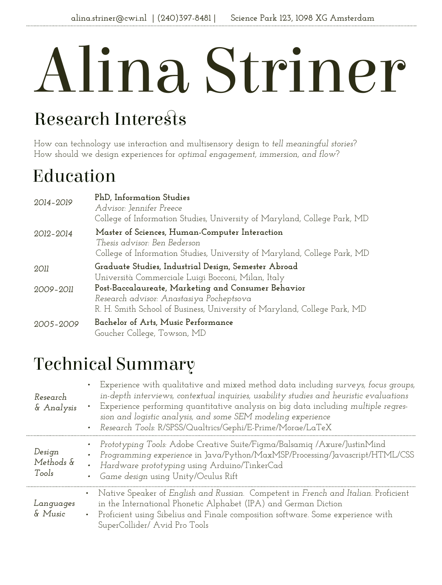# Alina Striner

# Research Interests

How can technology use interaction and multisensory design to *tell meaningful stories*? How should we design experiences for *optimal engagement, immersion, and flow*?

# Education

| 2014-2019 | PhD, Information Studies<br>Advisor: Jennifer Preece<br>College of Information Studies, University of Maryland, College Park, MD                                            |
|-----------|-----------------------------------------------------------------------------------------------------------------------------------------------------------------------------|
| 2012-2014 | Master of Sciences, Human-Computer Interaction<br>Thesis advisor: Ben Bederson<br>College of Information Studies, University of Maryland, College Park, MD                  |
| 2011      | Graduate Studies, Industrial Design, Semester Abroad<br>Università Commerciale Luigi Bocconi, Milan, Italy                                                                  |
| 2009-2011 | Post-Baccalaureate, Marketing and Consumer Behavior<br>Research advisor: Anastasiya Pocheptsova<br>R. H. Smith School of Business, University of Maryland, College Park, MD |
| 2005-2009 | Bachelor of Arts, Music Performance<br>Goucher College, Towson, MD                                                                                                          |

# Technical Summary

| Research<br>& Analysis       | Experience with qualitative and mixed method data including surveys, focus groups,<br>in-depth interviews, contextual inquiries, usability studies and heuristic evaluations<br>Experience performing quantitative analysis on big data including multiple regres-<br>$\bullet$<br>sion and logistic analysis, and some SEM modeling experience<br>Research Tools: R/SPSS/Qualtrics/Gephi/E-Prime/Morae/LaTeX<br>$\bullet$ |
|------------------------------|----------------------------------------------------------------------------------------------------------------------------------------------------------------------------------------------------------------------------------------------------------------------------------------------------------------------------------------------------------------------------------------------------------------------------|
| Design<br>Methods &<br>Tools | Prototyping Tools: Adobe Creative Suite/Figma/Balsamig /Axure/JustinMind<br>$\bullet$<br>Programming experience in Java/Python/MaxMSP/Processing/Javascript/HTML/CSS<br>Hardware prototyping using Arduino/TinkerCad<br>Game design using Unity/Oculus Rift<br>$\bullet$                                                                                                                                                   |
| Languages<br>& Music         | • Native Speaker of English and Russian. Competent in French and Italian. Proficient<br>in the International Phonetic Alphabet (IPA) and German Diction<br>Proficient using Sibelius and Finale composition software. Some experience with<br>$\bullet$<br>SuperCollider/ Avid Pro Tools                                                                                                                                   |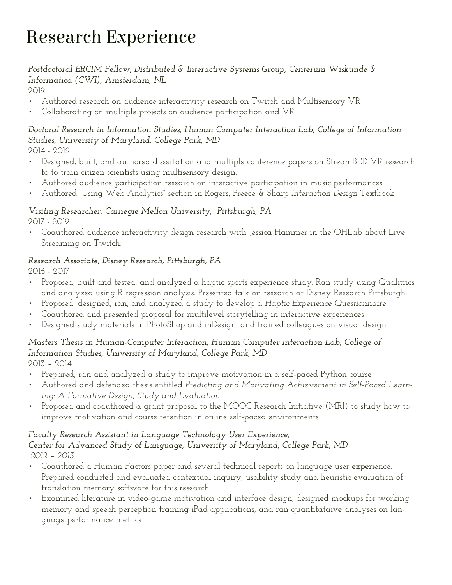# Research Experience

## *Postdoctoral ERCIM Fellow, Distributed & Interactive Systems Group, Centerum Wiskunde & Informatica (CWI), Amsterdam, NL*

2019

- Authored research on audience interactivity research on Twitch and Multisensory VR
- Collaborating on multiple projects on audience participation and VR

## *Doctoral Research in Information Studies, Human Computer Interaction Lab, College of Information Studies, University of Maryland, College Park, MD*

2014 - 2019

- Designed, built, and authored dissertation and multiple conference papers on StreamBED VR research to to train citizen scientists using multisensory design.
- Authored audience participation research on interactive participation in music performances.
- Authored "Using Web Analytics" section in Rogers, Preece & Sharp *Interaction Design* Textbook

## *Visiting Researcher, Carnegie Mellon University, Pittsburgh, PA*

2017 - 2019

• Coauthored audience interactivity design research with Jessica Hammer in the OHLab about Live Streaming on Twitch.

### *Research Associate, Disney Research, Pittsburgh, PA*

2016 - 2017

- Proposed, built and tested, and analyzed a haptic sports experience study. Ran study using Qualitrics and analyzed using R regression analysis. Presented talk on research at Disney Research Pittsburgh.
- Proposed, designed, ran, and analyzed a study to develop a *Haptic Experience Questionnaire*
- Coauthored and presented proposal for multilevel storytelling in interactive experiences
- Designed study materials in PhotoShop and inDesign, and trained colleagues on visual design

## *Masters Thesis in Human-Computer Interaction, Human Computer Interaction Lab, College of Information Studies, University of Maryland, College Park, MD*

2013 – 2014

- Prepared, ran and analyzed a study to improve motivation in a self-paced Python course
- Authored and defended thesis entitled *Predicting and Motivating Achievement in Self-Paced Learning: A Formative Design, Study and Evaluation*
- Proposed and coauthored a grant proposal to the MOOC Research Initiative (MRI) to study how to improve motivation and course retention in online self-paced environments

## *Faculty Research Assistant in Language Technology User Experience,*

#### *Center for Advanced Study of Language, University of Maryland, College Park, MD 2012 – 2013*

- Coauthored a Human Factors paper and several technical reports on language user experience. Prepared conducted and evaluated contextual inquiry, usability study and heuristic evaluation of translation memory software for this research.
- Examined literature in video-game motivation and interface design, designed mockups for working memory and speech perception training iPad applications, and ran quantitataive analyses on language performance metrics.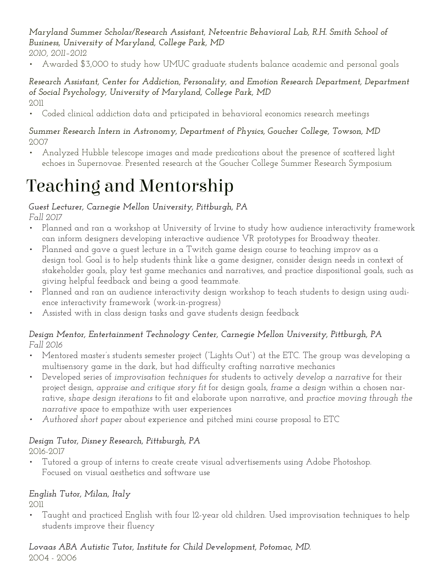*Maryland Summer Scholar/Research Assistant, Netcentric Behavioral Lab, R.H. Smith School of Business, University of Maryland, College Park, MD* 

- *2010, 2011–2012*
- Awarded \$3,000 to study how UMUC graduate students balance academic and personal goals

#### *Research Assistant, Center for Addiction, Personality, and Emotion Research Department, Department of Social Psychology, University of Maryland, College Park, MD* 2011

• Coded clinical addiction data and prticipated in behavioral economics research meetings

#### *Summer Research Intern in Astronomy, Department of Physics, Goucher College, Towson, MD*  2007

• Analyzed Hubble telescope images and made predications about the presence of scattered light echoes in Supernovae. Presented research at the Goucher College Summer Research Symposium

## Teaching and Mentorship

## *Guest Lecturer, Carnegie Mellon University, Pittburgh, PA*

*Fall 2017*

- Planned and ran a workshop at University of Irvine to study how audience interactivity framework can inform designers developing interactive audience VR prototypes for Broadway theater.
- Planned and gave a guest lecture in a Twitch game design course to teaching improv as a design tool. Goal is to help students think like a game designer, consider design needs in context of stakeholder goals, play test game mechanics and narratives, and practice dispositional goals, such as giving helpful feedback and being a good teammate.
- Planned and ran an audience interactivity design workshop to teach students to design using audience interactivity framework (work-in-progress)
- Assisted with in class design tasks and gave students design feedback

#### *Design Mentor, Entertainment Technology Center, Carnegie Mellon University, Pittburgh, PA Fall 2016*

- Mentored master's students semester project ("Lights Out") at the ETC. The group was developing a multisensory game in the dark, but had difficulty crafting narrative mechanics
- Developed series of *improvisation techniques f*or students to actively *develop a narrative* for their project design, *appraise and critique story fit* for design goals, *frame a design* within a chosen narrative, s*hape design iterations* to fit and elaborate upon narrative, and *practice moving through the narrative space* to empathize with user experiences
- *• Authored short paper* about experience and pitched mini course proposal to ETC

#### *Design Tutor, Disney Research, Pittsburgh, PA* 2016-2017

• Tutored a group of interns to create create visual advertisements using Adobe Photoshop. Focused on visual aesthetics and software use

## *English Tutor, Milan, Italy*

2011

• Taught and practiced English with four 12-year old children. Used improvisation techniques to help students improve their fluency

*Lovaas ABA Autistic Tutor, Institute for Child Development, Potomac, MD.* 2004 - 2006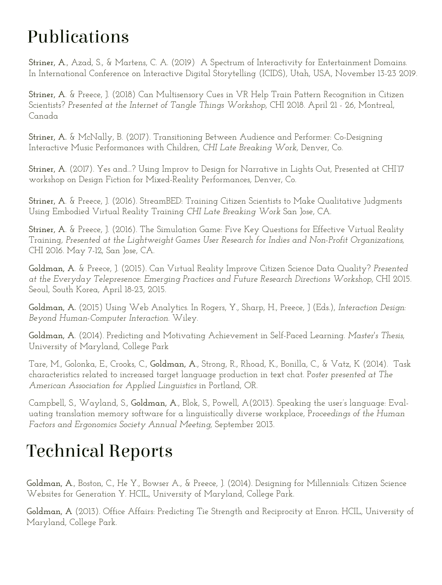# Publications

**Striner, A**., Azad, S., & Martens, C. A. (2019) A Spectrum of Interactivity for Entertainment Domains. In International Conference on Interactive Digital Storytelling (ICIDS), Utah, USA, November 13-23 2019.

**Striner, A**. & Preece, J. (2018) Can Multisensory Cues in VR Help Train Pattern Recognition in Citizen Scientists? *Presented at the Internet of Tangle Things Workshop,* CHI 2018. April 21 - 26, Montreal, Canada

**Striner, A.** & McNally, B. (2017). Transitioning Between Audience and Performer: Co-Designing Interactive Music Performances with Children, *CHI Late Breaking Work,* Denver, Co.

**Striner, A**. (2017). Yes and...? Using Improv to Design for Narrative in Lights Out, Presented at CHI'17 workshop on Design Fiction for Mixed-Reality Performances*,* Denver, Co.

**Striner, A**. & Preece, J. (2016). StreamBED: Training Citizen Scientists to Make Qualitative Judgments Using Embodied Virtual Reality Training *CHI Late Breaking Work* San Jose, CA.

**Striner, A**. & Preece, J. (2016). The Simulation Game: Five Key Questions for Effective Virtual Reality Training*, Presented at the Lightweight Games User Research for Indies and Non-Profit Organizations,*  CHI 2016. May 7-12, San Jose, CA.

**Goldman, A**. & Preece, J. (2015). Can Virtual Reality Improve Citizen Science Data Quality? *Presented at the Everyday Telepresence: Emerging Practices and Future Research Directions Workshop,* CHI 2015. Seoul, South Korea, April 18-23, 2015.

**Goldman, A.** (2015) Using Web Analytics. In Rogers, Y., Sharp, H., Preece, J (Eds.), *Interaction Design: Beyond Human-Computer Interaction.* Wiley.

**Goldman, A**. (2014). Predicting and Motivating Achievement in Self-Paced Learning. *Master's Thesis*, University of Maryland, College Park

Tare, M., Golonka, E., Crooks, C., **Goldman, A**., Strong, R., Rhoad, K., Bonilla, C., & Vatz, K (2014). Task characteristics related to increased target language production in text chat. P*oster presented at The American Association for Applied Linguistics* in Portland, OR.

Campbell, S., Wayland, S., **Goldman, A**., Blok, S., Powell, A(2013). Speaking the user's language: Evaluating translation memory software for a linguistically diverse workplace, P*roceedings of the Human Factors and Ergonomics Society Annual Meeting,* September 2013.

# Technical Reports

**Goldman, A**., Boston, C., He Y., Bowser A., & Preece, J. (2014). Designing for Millennials: Citizen Science Websites for Generation Y. HCIL, University of Maryland, College Park.

**Goldman, A** (2013). Office Affairs: Predicting Tie Strength and Reciprocity at Enron. HCIL, University of Maryland, College Park.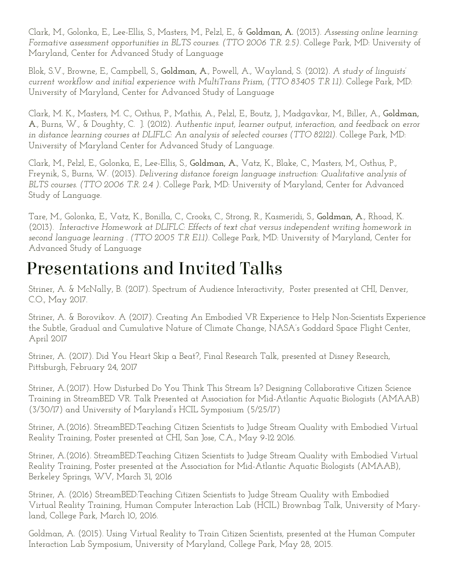Clark, M., Golonka, E., Lee-Ellis, S., Masters, M., Pelzl, E., & **Goldman, A.** (2013). *Assessing online learning: Formative assessment opportunities in BLTS courses. (TTO 2006 T.R. 2.5)*. College Park, MD: University of Maryland, Center for Advanced Study of Language

Blok, S.V., Browne, E., Campbell, S., **Goldman, A**., Powell, A., Wayland, S. (2012). *A study of linguists' current workflow and initial experience with MultiTrans Prism, (TTO 83405 T.R 1.1)*. College Park, MD: University of Maryland, Center for Advanced Study of Language

Clark, M. K., Masters, M. C., Osthus, P., Mathis, A., Pelzl, E., Boutz, J., Madgavkar, M., Biller, A., **Goldman, A**., Burns, W., & Doughty, C. J. (2012). *Authentic input, learner output, interaction, and feedback on error in distance learning courses at DLIFLC: An analysis of selected courses (TTO 82121).* College Park, MD: University of Maryland Center for Advanced Study of Language.

Clark, M., Pelzl, E., Golonka, E., Lee-Ellis, S., **Goldman, A.**, Vatz, K., Blake, C., Masters, M., Osthus, P., Freynik, S., Burns, W. (2013). *Delivering distance foreign language instruction: Qualitative analysis of BLTS courses. (TTO 2006 T.R. 2.4 ).* College Park, MD: University of Maryland, Center for Advanced Study of Language.

Tare, M., Golonka, E., Vatz, K., Bonilla, C., Crooks, C., Strong, R., Kasmeridi, S., **Goldman, A**., Rhoad, K. (2013). *Interactive Homework at DLIFLC: Effects of text chat versus independent writing homework in second language learning . (TTO 2005 T.R E.1.1)*. College Park, MD: University of Maryland, Center for Advanced Study of Language

## Presentations and Invited Talks

Striner, A. & McNally, B. (2017). Spectrum of Audience Interactivity, Poster presented at CHI, Denver, C.O., May 2017.

Striner, A. & Borovikov. A (2017). Creating An Embodied VR Experience to Help Non-Scientists Experience the Subtle, Gradual and Cumulative Nature of Climate Change, NASA's Goddard Space Flight Center, April 2017

Striner, A. (2017). Did You Heart Skip a Beat?, Final Research Talk, presented at Disney Research, Pittsburgh, February 24, 2017

Striner, A.(2017). How Disturbed Do You Think This Stream Is? Designing Collaborative Citizen Science Training in StreamBED VR. Talk Presented at Association for Mid-Atlantic Aquatic Biologists (AMAAB) (3/30/17) and University of Maryland's HCIL Symposium (5/25/17)

Striner, A.(2016). StreamBED:Teaching Citizen Scientists to Judge Stream Quality with Embodied Virtual Reality Training, Poster presented at CHI, San Jose, C.A., May 9-12 2016.

Striner, A.(2016). StreamBED:Teaching Citizen Scientists to Judge Stream Quality with Embodied Virtual Reality Training, Poster presented at the Association for Mid-Atlantic Aquatic Biologists (AMAAB), Berkeley Springs, WV, March 31, 2016

Striner, A. (2016) StreamBED:Teaching Citizen Scientists to Judge Stream Quality with Embodied Virtual Reality Training, Human Computer Interaction Lab (HCIL) Brownbag Talk, University of Maryland, College Park, March 10, 2016.

Goldman, A. (2015). Using Virtual Reality to Train Citizen Scientists, presented at the Human Computer Interaction Lab Symposium, University of Maryland, College Park, May 28, 2015.